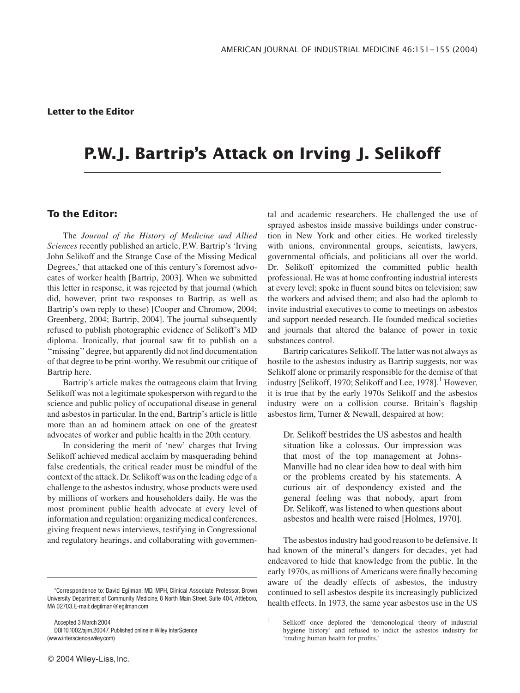# P.W.J. Bartrip's Attack on Irving J. Selikoff

## To the Editor:

The Journal of the History of Medicine and Allied Sciences recently published an article, P.W. Bartrip's 'Irving John Selikoff and the Strange Case of the Missing Medical Degrees,' that attacked one of this century's foremost advocates of worker health [Bartrip, 2003]. When we submitted this letter in response, it was rejected by that journal (which did, however, print two responses to Bartrip, as well as Bartrip's own reply to these) [Cooper and Chromow, 2004; Greenberg, 2004; Bartrip, 2004]. The journal subsequently refused to publish photographic evidence of Selikoff's MD diploma. Ironically, that journal saw fit to publish on a ''missing'' degree, but apparently did not find documentation of that degree to be print-worthy. We resubmit our critique of Bartrip here.

Bartrip's article makes the outrageous claim that Irving Selikoff was not a legitimate spokesperson with regard to the science and public policy of occupational disease in general and asbestos in particular. In the end, Bartrip's article is little more than an ad hominem attack on one of the greatest advocates of worker and public health in the 20th century.

In considering the merit of 'new' charges that Irving Selikoff achieved medical acclaim by masquerading behind false credentials, the critical reader must be mindful of the context of the attack. Dr. Selikoff was on the leading edge of a challenge to the asbestos industry, whose products were used by millions of workers and householders daily. He was the most prominent public health advocate at every level of information and regulation: organizing medical conferences, giving frequent news interviews, testifying in Congressional and regulatory hearings, and collaborating with governmen-

Accepted 3 March 2004 DOI 10.1002/ajim.20047. Published online in Wiley InterScience (www.interscience.wiley.com)

tal and academic researchers. He challenged the use of sprayed asbestos inside massive buildings under construction in New York and other cities. He worked tirelessly with unions, environmental groups, scientists, lawyers, governmental officials, and politicians all over the world. Dr. Selikoff epitomized the committed public health professional. He was at home confronting industrial interests at every level; spoke in fluent sound bites on television; saw the workers and advised them; and also had the aplomb to invite industrial executives to come to meetings on asbestos and support needed research. He founded medical societies and journals that altered the balance of power in toxic substances control.

Bartrip caricatures Selikoff. The latter was not always as hostile to the asbestos industry as Bartrip suggests, nor was Selikoff alone or primarily responsible for the demise of that industry [Selikoff, 1970; Selikoff and Lee, 1978].<sup>1</sup> However, it is true that by the early 1970s Selikoff and the asbestos industry were on a collision course. Britain's flagship asbestos firm, Turner & Newall, despaired at how:

Dr. Selikoff bestrides the US asbestos and health situation like a colossus. Our impression was that most of the top management at Johns-Manville had no clear idea how to deal with him or the problems created by his statements. A curious air of despondency existed and the general feeling was that nobody, apart from Dr. Selikoff, was listened to when questions about asbestos and health were raised [Holmes, 1970].

The asbestos industry had good reason to be defensive. It had known of the mineral's dangers for decades, yet had endeavored to hide that knowledge from the public. In the early 1970s, as millions of Americans were finally becoming aware of the deadly effects of asbestos, the industry continued to sell asbestos despite its increasingly publicized health effects. In 1973, the same year asbestos use in the US

<sup>\*</sup>Correspondence to: David Egilman, MD, MPH, Clinical Associate Professor, Brown University Department of Community Medicine, 8 North Main Street, Suite 404, Attleboro, MA 02703. E-mail: degilman@egilman.com

<sup>1</sup> Selikoff once deplored the 'demonological theory of industrial hygiene history' and refused to indict the asbestos industry for 'trading human health for profits.'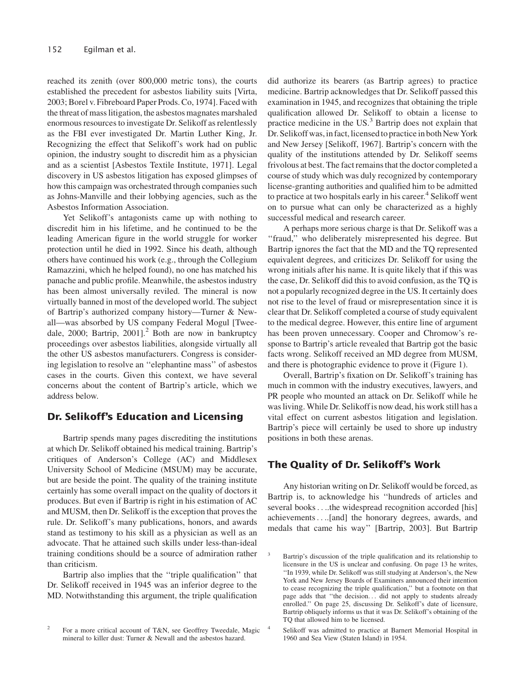reached its zenith (over 800,000 metric tons), the courts established the precedent for asbestos liability suits [Virta, 2003; Borel v. Fibreboard Paper Prods. Co, 1974]. Faced with the threat of mass litigation, the asbestos magnates marshaled enormous resources to investigate Dr. Selikoff as relentlessly as the FBI ever investigated Dr. Martin Luther King, Jr. Recognizing the effect that Selikoff's work had on public opinion, the industry sought to discredit him as a physician and as a scientist [Asbestos Textile Institute, 1971]. Legal discovery in US asbestos litigation has exposed glimpses of how this campaign was orchestrated through companies such as Johns-Manville and their lobbying agencies, such as the Asbestos Information Association.

Yet Selikoff's antagonists came up with nothing to discredit him in his lifetime, and he continued to be the leading American figure in the world struggle for worker protection until he died in 1992. Since his death, although others have continued his work (e.g., through the Collegium Ramazzini, which he helped found), no one has matched his panache and public profile. Meanwhile, the asbestos industry has been almost universally reviled. The mineral is now virtually banned in most of the developed world. The subject of Bartrip's authorized company history—Turner & Newall—was absorbed by US company Federal Mogul [Tweedale, 2000; Bartrip, 2001]. $^2$  Both are now in bankruptcy proceedings over asbestos liabilities, alongside virtually all the other US asbestos manufacturers. Congress is considering legislation to resolve an ''elephantine mass'' of asbestos cases in the courts. Given this context, we have several concerns about the content of Bartrip's article, which we address below.

## Dr. Selikoff's Education and Licensing

Bartrip spends many pages discrediting the institutions at which Dr. Selikoff obtained his medical training. Bartrip's critiques of Anderson's College (AC) and Middlesex University School of Medicine (MSUM) may be accurate, but are beside the point. The quality of the training institute certainly has some overall impact on the quality of doctors it produces. But even if Bartrip is right in his estimation of AC and MUSM, then Dr. Selikoff is the exception that proves the rule. Dr. Selikoff's many publications, honors, and awards stand as testimony to his skill as a physician as well as an advocate. That he attained such skills under less-than-ideal training conditions should be a source of admiration rather than criticism.

Bartrip also implies that the ''triple qualification'' that Dr. Selikoff received in 1945 was an inferior degree to the MD. Notwithstanding this argument, the triple qualification did authorize its bearers (as Bartrip agrees) to practice medicine. Bartrip acknowledges that Dr. Selikoff passed this examination in 1945, and recognizes that obtaining the triple qualification allowed Dr. Selikoff to obtain a license to practice medicine in the US. $3$  Bartrip does not explain that Dr. Selikoff was, in fact, licensed to practice in both New York and New Jersey [Selikoff, 1967]. Bartrip's concern with the quality of the institutions attended by Dr. Selikoff seems frivolous at best. The fact remains that the doctor completed a course of study which was duly recognized by contemporary license-granting authorities and qualified him to be admitted to practice at two hospitals early in his career.<sup>4</sup> Selikoff went on to pursue what can only be characterized as a highly successful medical and research career.

A perhaps more serious charge is that Dr. Selikoff was a "fraud," who deliberately misrepresented his degree. But Bartrip ignores the fact that the MD and the TQ represented equivalent degrees, and criticizes Dr. Selikoff for using the wrong initials after his name. It is quite likely that if this was the case, Dr. Selikoff did this to avoid confusion, as the TQ is not a popularly recognized degree in the US. It certainly does not rise to the level of fraud or misrepresentation since it is clear that Dr. Selikoff completed a course of study equivalent to the medical degree. However, this entire line of argument has been proven unnecessary. Cooper and Chromow's response to Bartrip's article revealed that Bartrip got the basic facts wrong. Selikoff received an MD degree from MUSM, and there is photographic evidence to prove it (Figure 1).

Overall, Bartrip's fixation on Dr. Selikoff's training has much in common with the industry executives, lawyers, and PR people who mounted an attack on Dr. Selikoff while he was living. While Dr. Selikoff is now dead, his work still has a vital effect on current asbestos litigation and legislation. Bartrip's piece will certainly be used to shore up industry positions in both these arenas.

## The Quality of Dr. Selikoff's Work

Any historian writing on Dr. Selikoff would be forced, as Bartrip is, to acknowledge his ''hundreds of articles and several books....the widespread recognition accorded [his] achievements....[and] the honorary degrees, awards, and medals that came his way'' [Bartrip, 2003]. But Bartrip

Selikoff was admitted to practice at Barnert Memorial Hospital in 1960 and Sea View (Staten Island) in 1954.

For a more critical account of T&N, see Geoffrey Tweedale, Magic mineral to killer dust: Turner & Newall and the asbestos hazard.

Bartrip's discussion of the triple qualification and its relationship to licensure in the US is unclear and confusing. On page 13 he writes, ''In 1939, while Dr. Selikoff was still studying at Anderson's, the New York and New Jersey Boards of Examiners announced their intention to cease recognizing the triple qualification,'' but a footnote on that page adds that ''the decision... did not apply to students already enrolled.'' On page 25, discussing Dr. Selikoff's date of licensure, Bartrip obliquely informs us that it was Dr. Selikoff's obtaining of the TQ that allowed him to be licensed.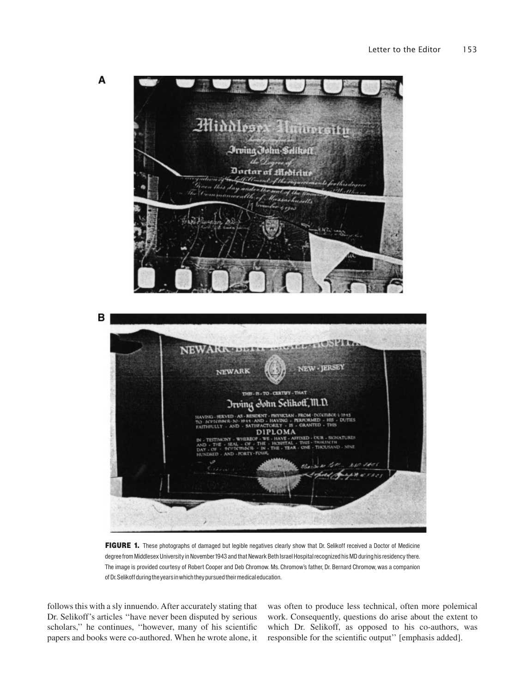



FIGURE 1. These photographs of damaged but legible negatives clearly show that Dr. Selikoff received a Doctor of Medicine degree from Middlesex University in November 1943 and that Newark Beth Israel Hospital recognized his MD during his residency there. The image is provided courtesy of Robert Cooper and Deb Chromow. Ms. Chromow's father, Dr. Bernard Chromow, was a companion of Dr.Selikoffduringtheyears inwhichtheypursuedtheirmedical education.

follows this with a sly innuendo. After accurately stating that Dr. Selikoff's articles ''have never been disputed by serious scholars,'' he continues, ''however, many of his scientific papers and books were co-authored. When he wrote alone, it was often to produce less technical, often more polemical work. Consequently, questions do arise about the extent to which Dr. Selikoff, as opposed to his co-authors, was responsible for the scientific output'' [emphasis added].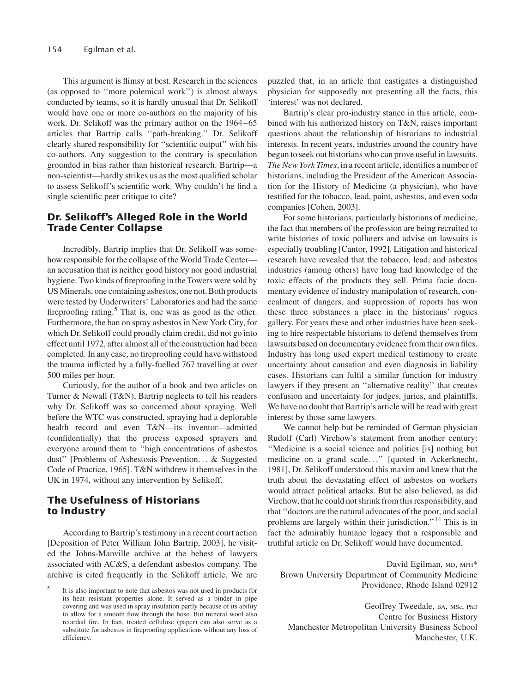This argument is flimsy at best. Research in the sciences (as opposed to ''more polemical work'') is almost always conducted by teams, so it is hardly unusual that Dr. Selikoff would have one or more co-authors on the majority of his work. Dr. Selikoff was the primary author on the 1964–65 articles that Bartrip calls ''path-breaking.'' Dr. Selikoff clearly shared responsibility for ''scientific output'' with his co-authors. Any suggestion to the contrary is speculation grounded in bias rather than historical research. Bartrip—a non-scientist—hardly strikes us as the most qualified scholar to assess Selikoff's scientific work. Why couldn't he find a single scientific peer critique to cite?

## Dr. Selikoff's Alleged Role in the World Trade Center Collapse

Incredibly, Bartrip implies that Dr. Selikoff was somehow responsible for the collapse of the World Trade Center an accusation that is neither good history nor good industrial hygiene. Two kinds of fireproofing in the Towers were sold by US Minerals, one containing asbestos, one not. Both products were tested by Underwriters' Laboratories and had the same fireproofing rating. $5$  That is, one was as good as the other. Furthermore, the ban on spray asbestos in New York City, for which Dr. Selikoff could proudly claim credit, did not go into effect until 1972, after almost all of the construction had been completed. In any case, no fireproofing could have withstood the trauma inflicted by a fully-fuelled 767 travelling at over 500 miles per hour.

Curiously, for the author of a book and two articles on Turner & Newall (T&N), Bartrip neglects to tell his readers why Dr. Selikoff was so concerned about spraying. Well before the WTC was constructed, spraying had a deplorable health record and even T&N—its inventor—admitted (confidentially) that the process exposed sprayers and everyone around them to ''high concentrations of asbestos dust'' [Problems of Asbestosis Prevention... & Suggested Code of Practice, 1965]. T&N withdrew it themselves in the UK in 1974, without any intervention by Selikoff.

## The Usefulness of Historians to Industry

According to Bartrip's testimony in a recent court action [Deposition of Peter William John Bartrip, 2003], he visited the Johns-Manville archive at the behest of lawyers associated with AC&S, a defendant asbestos company. The archive is cited frequently in the Selikoff article. We are

puzzled that, in an article that castigates a distinguished physician for supposedly not presenting all the facts, this 'interest' was not declared.

Bartrip's clear pro-industry stance in this article, combined with his authorized history on T&N, raises important questions about the relationship of historians to industrial interests. In recent years, industries around the country have begun to seek out historians who can prove useful in lawsuits. The New York Times, in a recent article, identifies a number of historians, including the President of the American Association for the History of Medicine (a physician), who have testified for the tobacco, lead, paint, asbestos, and even soda companies [Cohen, 2003].

For some historians, particularly historians of medicine, the fact that members of the profession are being recruited to write histories of toxic polluters and advise on lawsuits is especially troubling [Cantor, 1992]. Litigation and historical research have revealed that the tobacco, lead, and asbestos industries (among others) have long had knowledge of the toxic effects of the products they sell. Prima facie documentary evidence of industry manipulation of research, concealment of dangers, and suppression of reports has won these three substances a place in the historians' rogues gallery. For years these and other industries have been seeking to hire respectable historians to defend themselves from lawsuits based on documentary evidence from their own files. Industry has long used expert medical testimony to create uncertainty about causation and even diagnosis in liability cases. Historians can fulfil a similar function for industry lawyers if they present an ''alternative reality'' that creates confusion and uncertainty for judges, juries, and plaintiffs. We have no doubt that Bartrip's article will be read with great interest by those same lawyers.

We cannot help but be reminded of German physician Rudolf (Carl) Virchow's statement from another century: ''Medicine is a social science and politics [is] nothing but medicine on a grand scale...'' [quoted in Ackerknecht, 1981], Dr. Selikoff understood this maxim and knew that the truth about the devastating effect of asbestos on workers would attract political attacks. But he also believed, as did Virchow, that he could not shrink from this responsibility, and that ''doctors are the natural advocates of the poor, and social problems are largely within their jurisdiction.''<sup>14</sup> This is in fact the admirably humane legacy that a responsible and truthful article on Dr. Selikoff would have documented.

David Egilman, MD, MPH\* Brown University Department of Community Medicine Providence, Rhode Island 02912

Geoffrey Tweedale, BA, MSc, PhD Centre for Business History Manchester Metropolitan University Business School Manchester, U.K.

It is also important to note that asbestos was not used in products for its heat resistant properties alone. It served as a binder in pipe covering and was used in spray insulation partly because of its ability to allow for a smooth flow through the hose. But mineral wool also retarded fire. In fact, treated cellulose (paper) can also serve as a substitute for asbestos in fireproofing applications without any loss of efficiency.